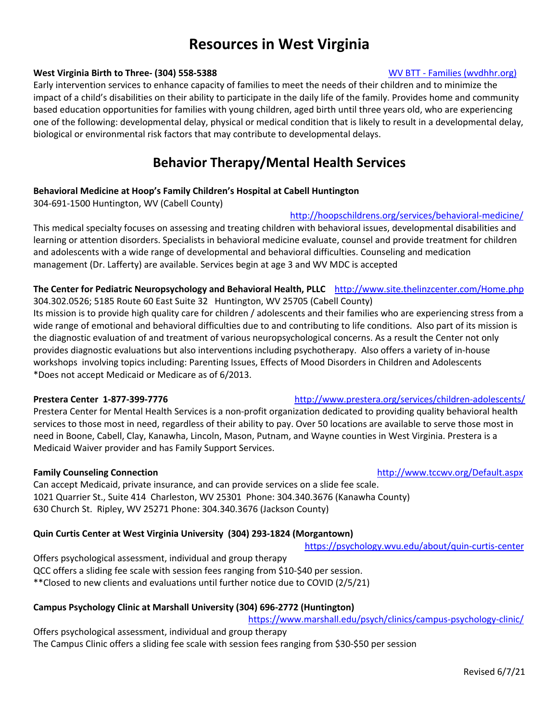# **Resources in West Virginia**

### **West Virginia Birth to Three- (304) 558-5388** WEST And The Manual Manual Mexican Manual Mexican Mexican Mexican M

Early intervention services to enhance capacity of families to meet the needs of their children and to minimize the impact of a child's disabilities on their ability to participate in the daily life of the family. Provides home and community based education opportunities for families with young children, aged birth until three years old, who are experiencing one of the following: developmental delay, physical or medical condition that is likely to result in a developmental delay, biological or environmental risk factors that may contribute to developmental delays.

# **Behavior Therapy/Mental Health Services**

### **Behavioral Medicine at Hoop's Family Children's Hospital at Cabell Huntington**

304-691-1500 Huntington, WV (Cabell County)

### http://hoopschildrens.org/services/behavioral-medicine/

This medical specialty focuses on assessing and treating children with behavioral issues, developmental disabilities and learning or attention disorders. Specialists in behavioral medicine evaluate, counsel and provide treatment for children and adolescents with a wide range of developmental and behavioral difficulties. Counseling and medication management (Dr. Lafferty) are available. Services begin at age 3 and WV MDC is accepted

### **The Center for Pediatric Neuropsychology and Behavioral Health, PLLC** http://www.site.thelinzcenter.com/Home.php 304.302.0526; 5185 Route 60 East Suite 32 Huntington, WV 25705 (Cabell County)

Its mission is to provide high quality care for children / adolescents and their families who are experiencing stress from a wide range of emotional and behavioral difficulties due to and contributing to life conditions. Also part of its mission is the diagnostic evaluation of and treatment of various neuropsychological concerns. As a result the Center not only provides diagnostic evaluations but also interventions including psychotherapy. Also offers a variety of in-house workshops involving topics including: Parenting Issues, Effects of Mood Disorders in Children and Adolescents \*Does not accept Medicaid or Medicare as of 6/2013.

### **Prestera Center 1-877-399-7776** http://www.prestera.org/services/children-adolescents/

Prestera Center for Mental Health Services is a non-profit organization dedicated to providing quality behavioral health services to those most in need, regardless of their ability to pay. Over 50 locations are available to serve those most in need in Boone, Cabell, Clay, Kanawha, Lincoln, Mason, Putnam, and Wayne counties in West Virginia. Prestera is a Medicaid Waiver provider and has Family Support Services.

### **Family Counseling Connection** http://www.tccwv.org/Default.aspx

Can accept Medicaid, private insurance, and can provide services on a slide fee scale. 1021 Quarrier St., Suite 414 Charleston, WV 25301 Phone: 304.340.3676 (Kanawha County) 630 Church St. Ripley, WV 25271 Phone: 304.340.3676 (Jackson County)

### **Quin Curtis Center at West Virginia University (304) 293-1824 (Morgantown)**

https://psychology.wvu.edu/about/quin-curtis-center

Offers psychological assessment, individual and group therapy QCC offers a sliding fee scale with session fees ranging from \$10-\$40 per session. \*\*Closed to new clients and evaluations until further notice due to COVID (2/5/21)

### **Campus Psychology Clinic at Marshall University (304) 696-2772 (Huntington)**

https://www.marshall.edu/psych/clinics/campus-psychology-clinic/

Offers psychological assessment, individual and group therapy The Campus Clinic offers a sliding fee scale with session fees ranging from \$30-\$50 per session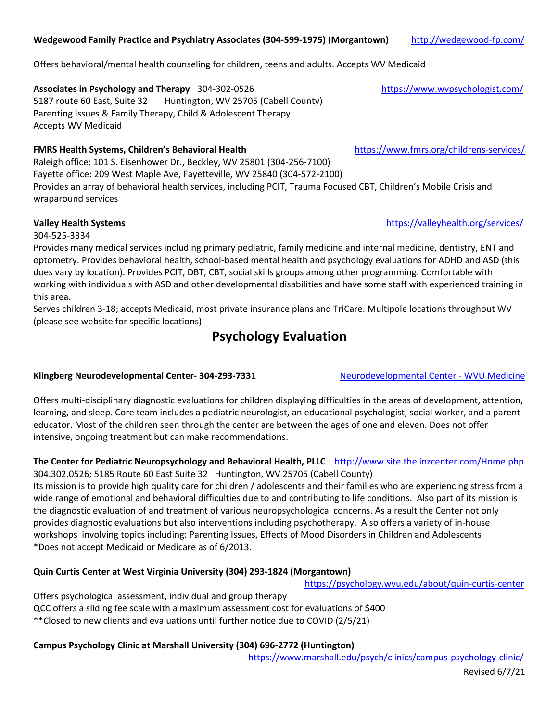### **Wedgewood Family Practice and Psychiatry Associates (304-599-1975) (Morgantown)** http://wedgewood-fp.com/

Offers behavioral/mental health counseling for children, teens and adults. Accepts WV Medicaid

# Associates in Psychology and Therapy 304-302-0526 https://www.wvpsychologist.com/

5187 route 60 East, Suite 32 Huntington, WV 25705 (Cabell County) Parenting Issues & Family Therapy, Child & Adolescent Therapy Accepts WV Medicaid

# **FMRS Health Systems, Children's Behavioral Health** https://www.fmrs.org/childrens-services/

Raleigh office: 101 S. Eisenhower Dr., Beckley, WV 25801 (304-256-7100) Fayette office: 209 West Maple Ave, Fayetteville, WV 25840 (304-572-2100) Provides an array of behavioral health services, including PCIT, Trauma Focused CBT, Children's Mobile Crisis and wraparound services

304-525-3334

Provides many medical services including primary pediatric, family medicine and internal medicine, dentistry, ENT and optometry. Provides behavioral health, school-based mental health and psychology evaluations for ADHD and ASD (this does vary by location). Provides PCIT, DBT, CBT, social skills groups among other programming. Comfortable with working with individuals with ASD and other developmental disabilities and have some staff with experienced training in this area.

Serves children 3-18; accepts Medicaid, most private insurance plans and TriCare. Multipole locations throughout WV (please see website for specific locations)

# **Psychology Evaluation**

# **Klingberg Neurodevelopmental Center- 304-293-7331** Neurodevelopmental Center - WVU Medicine

Offers multi-disciplinary diagnostic evaluations for children displaying difficulties in the areas of development, attention, learning, and sleep. Core team includes a pediatric neurologist, an educational psychologist, social worker, and a parent educator. Most of the children seen through the center are between the ages of one and eleven. Does not offer intensive, ongoing treatment but can make recommendations.

### **The Center for Pediatric Neuropsychology and Behavioral Health, PLLC** http://www.site.thelinzcenter.com/Home.php 304.302.0526; 5185 Route 60 East Suite 32 Huntington, WV 25705 (Cabell County)

Its mission is to provide high quality care for children / adolescents and their families who are experiencing stress from a wide range of emotional and behavioral difficulties due to and contributing to life conditions. Also part of its mission is the diagnostic evaluation of and treatment of various neuropsychological concerns. As a result the Center not only provides diagnostic evaluations but also interventions including psychotherapy. Also offers a variety of in-house workshops involving topics including: Parenting Issues, Effects of Mood Disorders in Children and Adolescents \*Does not accept Medicaid or Medicare as of 6/2013.

# **Quin Curtis Center at West Virginia University (304) 293-1824 (Morgantown)**

 https://psychology.wvu.edu/about/quin-curtis-center Offers psychological assessment, individual and group therapy QCC offers a sliding fee scale with a maximum assessment cost for evaluations of \$400 \*\*Closed to new clients and evaluations until further notice due to COVID (2/5/21)

# **Campus Psychology Clinic at Marshall University (304) 696-2772 (Huntington)**

https://www.marshall.edu/psych/clinics/campus-psychology-clinic/

**Valley Health Systems** https://valleyhealth.org/services/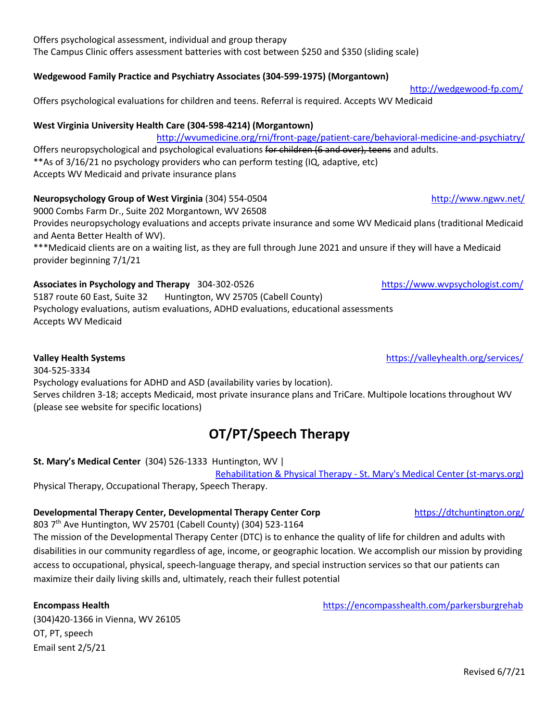### Offers psychological assessment, individual and group therapy The Campus Clinic offers assessment batteries with cost between \$250 and \$350 (sliding scale)

### **Wedgewood Family Practice and Psychiatry Associates (304-599-1975) (Morgantown)**

Offers psychological evaluations for children and teens. Referral is required. Accepts WV Medicaid

### **West Virginia University Health Care (304-598-4214) (Morgantown)**

 http://wvumedicine.org/rni/front-page/patient-care/behavioral-medicine-and-psychiatry/ Offers neuropsychological and psychological evaluations for children (6 and over), teens and adults. \*\*As of 3/16/21 no psychology providers who can perform testing (IQ, adaptive, etc) Accepts WV Medicaid and private insurance plans

### **Neuropsychology Group of West Virginia** (304) 554-0504 http://www.ngwv.net/

9000 Combs Farm Dr., Suite 202 Morgantown, WV 26508

Provides neuropsychology evaluations and accepts private insurance and some WV Medicaid plans (traditional Medicaid and Aenta Better Health of WV).

\*\*\*Medicaid clients are on a waiting list, as they are full through June 2021 and unsure if they will have a Medicaid provider beginning 7/1/21

## Associates in Psychology and Therapy 304-302-0526 https://www.wvpsychologist.com/

5187 route 60 East, Suite 32 Huntington, WV 25705 (Cabell County) Psychology evaluations, autism evaluations, ADHD evaluations, educational assessments Accepts WV Medicaid

304-525-3334 Psychology evaluations for ADHD and ASD (availability varies by location). Serves children 3-18; accepts Medicaid, most private insurance plans and TriCare. Multipole locations throughout WV (please see website for specific locations)

# **OT/PT/Speech Therapy**

## **St. Mary's Medical Center** (304) 526-1333 Huntington, WV |

 Rehabilitation & Physical Therapy - St. Mary's Medical Center (st-marys.org) Physical Therapy, Occupational Therapy, Speech Therapy.

## **Developmental Therapy Center, Developmental Therapy Center Corp** https://dtchuntington.org/

803 7th Ave Huntington, WV 25701 (Cabell County) (304) 523-1164

The mission of the Developmental Therapy Center (DTC) is to enhance the quality of life for children and adults with disabilities in our community regardless of age, income, or geographic location. We accomplish our mission by providing access to occupational, physical, speech-language therapy, and special instruction services so that our patients can maximize their daily living skills and, ultimately, reach their fullest potential

(304)420-1366 in Vienna, WV 26105 OT, PT, speech Email sent 2/5/21

**Encompass Health** https://encompasshealth.com/parkersburgrehab

**Valley Health Systems** https://valleyhealth.org/services/

http://wedgewood-fp.com/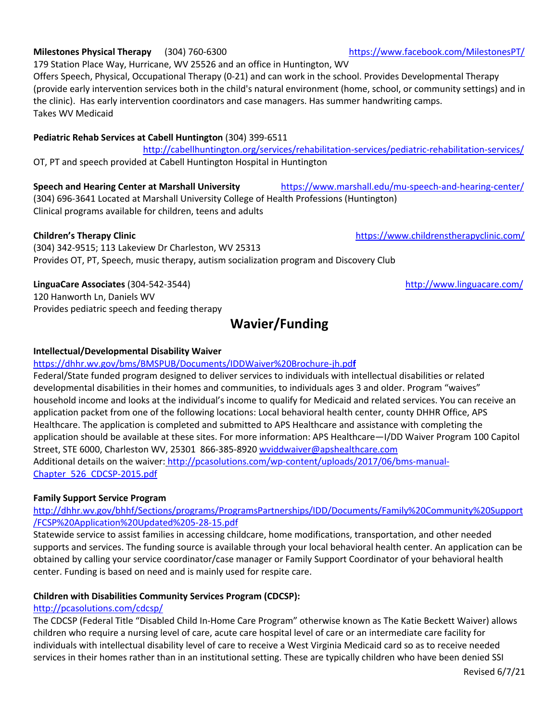# **Milestones Physical Therapy** (304) 760-6300 https://www.facebook.com/MilestonesPT/

179 Station Place Way, Hurricane, WV 25526 and an office in Huntington, WV Offers Speech, Physical, Occupational Therapy (0-21) and can work in the school. Provides Developmental Therapy (provide early intervention services both in the child's natural environment (home, school, or community settings) and in the clinic). Has early intervention coordinators and case managers. Has summer handwriting camps. Takes WV Medicaid

### **Pediatric Rehab Services at Cabell Huntington** (304) 399-6511

 http://cabellhuntington.org/services/rehabilitation-services/pediatric-rehabilitation-services/ OT, PT and speech provided at Cabell Huntington Hospital in Huntington

**Speech and Hearing Center at Marshall University** https://www.marshall.edu/mu-speech-and-hearing-center/ (304) 696-3641 Located at Marshall University College of Health Professions (Huntington) Clinical programs available for children, teens and adults

(304) 342-9515; 113 Lakeview Dr Charleston, WV 25313 Provides OT, PT, Speech, music therapy, autism socialization program and Discovery Club

### **LinguaCare Associates** (304-542-3544) **http://www.linguacare.com/**

120 Hanworth Ln, Daniels WV Provides pediatric speech and feeding therapy

# **Wavier/Funding**

### **Intellectual/Developmental Disability Waiver**

https://dhhr.wv.gov/bms/BMSPUB/Documents/IDDWaiver%20Brochure-jh.pd**f**

Federal/State funded program designed to deliver services to individuals with intellectual disabilities or related developmental disabilities in their homes and communities, to individuals ages 3 and older. Program "waives" household income and looks at the individual's income to qualify for Medicaid and related services. You can receive an application packet from one of the following locations: Local behavioral health center, county DHHR Office, APS Healthcare. The application is completed and submitted to APS Healthcare and assistance with completing the application should be available at these sites. For more information: APS Healthcare—I/DD Waiver Program 100 Capitol Street, STE 6000, Charleston WV, 25301 866-385-8920 wviddwaiver@apshealthcare.com Additional details on the waiver: http://pcasolutions.com/wp-content/uploads/2017/06/bms-manual-Chapter\_526\_CDCSP-2015.pdf

### **Family Support Service Program**

http://dhhr.wv.gov/bhhf/Sections/programs/ProgramsPartnerships/IDD/Documents/Family%20Community%20Support /FCSP%20Application%20Updated%205-28-15.pdf

Statewide service to assist families in accessing childcare, home modifications, transportation, and other needed supports and services. The funding source is available through your local behavioral health center. An application can be obtained by calling your service coordinator/case manager or Family Support Coordinator of your behavioral health center. Funding is based on need and is mainly used for respite care.

### **Children with Disabilities Community Services Program (CDCSP):**

### http://pcasolutions.com/cdcsp/

The CDCSP (Federal Title "Disabled Child In-Home Care Program" otherwise known as The Katie Beckett Waiver) allows children who require a nursing level of care, acute care hospital level of care or an intermediate care facility for individuals with intellectual disability level of care to receive a West Virginia Medicaid card so as to receive needed services in their homes rather than in an institutional setting. These are typically children who have been denied SSI

**Children's Therapy Clinic** https://www.childrenstherapyclinic.com/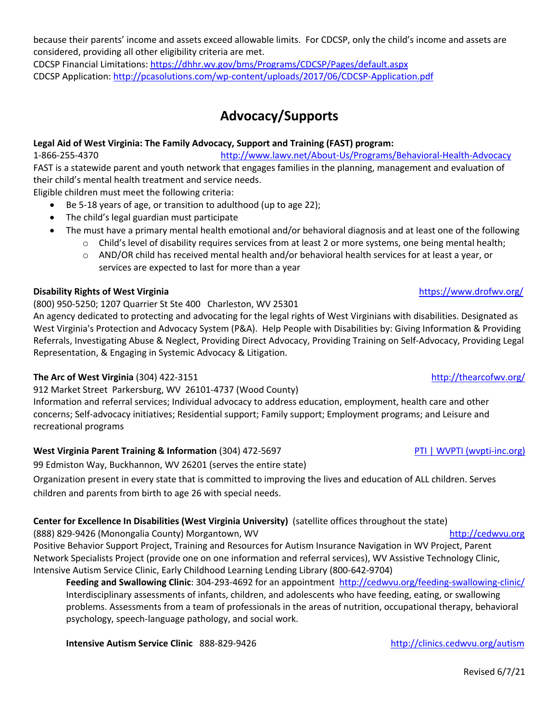### because their parents' income and assets exceed allowable limits. For CDCSP, only the child's income and assets are considered, providing all other eligibility criteria are met.

CDCSP Financial Limitations: https://dhhr.wv.gov/bms/Programs/CDCSP/Pages/default.aspx CDCSP Application: http://pcasolutions.com/wp-content/uploads/2017/06/CDCSP-Application.pdf

# **Advocacy/Supports**

## **Legal Aid of West Virginia: The Family Advocacy, Support and Training (FAST) program:**

1-866-255-4370 http://www.lawv.net/About-Us/Programs/Behavioral-Health-Advocacy FAST is a statewide parent and youth network that engages families in the planning, management and evaluation of their child's mental health treatment and service needs.

Eligible children must meet the following criteria:

- Be 5-18 years of age, or transition to adulthood (up to age 22);
- The child's legal guardian must participate
- The must have a primary mental health emotional and/or behavioral diagnosis and at least one of the following
	- o Child's level of disability requires services from at least 2 or more systems, one being mental health;
	- o AND/OR child has received mental health and/or behavioral health services for at least a year, or services are expected to last for more than a year

### **Disability Rights of West Virginia** https://www.drofwv.org/

### (800) 950-5250; 1207 Quarrier St Ste 400 Charleston, WV 25301

An agency dedicated to protecting and advocating for the legal rights of West Virginians with disabilities. Designated as West Virginia's Protection and Advocacy System (P&A). Help People with Disabilities by: Giving Information & Providing Referrals, Investigating Abuse & Neglect, Providing Direct Advocacy, Providing Training on Self-Advocacy, Providing Legal Representation, & Engaging in Systemic Advocacy & Litigation.

### **The Arc of West Virginia** (304) 422-3151 **http://thearcofwv.org/** http://thearcofwv.org/

## 912 Market Street Parkersburg, WV 26101-4737 (Wood County)

Information and referral services; Individual advocacy to address education, employment, health care and other concerns; Self-advocacy initiatives; Residential support; Family support; Employment programs; and Leisure and recreational programs

### **West Virginia Parent Training & Information** (304) 472-5697 **PTI PTI (WVPTI (WVPTI (wvpti-inc.org)**

99 Edmiston Way, Buckhannon, WV 26201 (serves the entire state)

Organization present in every state that is committed to improving the lives and education of ALL children. Serves children and parents from birth to age 26 with special needs.

## **Center for Excellence In Disabilities (West Virginia University)** (satellite offices throughout the state)

(888) 829-9426 (Monongalia County) Morgantown, WV http://cedwvu.org/ Positive Behavior Support Project, Training and Resources for Autism Insurance Navigation in WV Project, Parent Network Specialists Project (provide one on one information and referral services), WV Assistive Technology Clinic, Intensive Autism Service Clinic, Early Childhood Learning Lending Library (800-642-9704)

**Feeding and Swallowing Clinic**: 304-293-4692 for an appointment http://cedwvu.org/feeding-swallowing-clinic/ Interdisciplinary assessments of infants, children, and adolescents who have feeding, eating, or swallowing problems. Assessments from a team of professionals in the areas of nutrition, occupational therapy, behavioral psychology, speech-language pathology, and social work.

**Intensive Autism Service Clinic** 888-829-9426 http://clinics.cedwvu.org/autism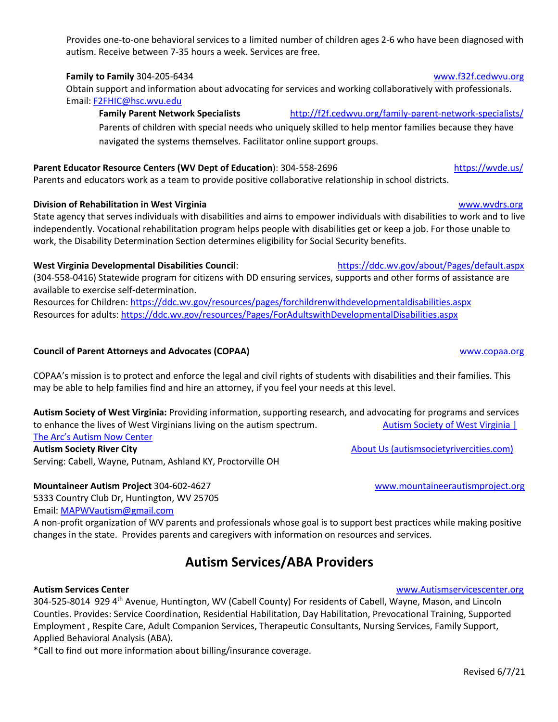### Provides one-to-one behavioral services to a limited number of children ages 2-6 who have been diagnosed with autism. Receive between 7-35 hours a week. Services are free.

## **Family to Family** 304-205-6434www.f32f.cedwvu.org

Obtain support and information about advocating for services and working collaboratively with professionals. Email: F2FHIC@hsc.wvu.edu

**Family Parent Network Specialists** http://f2f.cedwvu.org/family-parent-network-specialists/

Parents of children with special needs who uniquely skilled to help mentor families because they have navigated the systems themselves. Facilitator online support groups.

# **Parent Educator Resource Centers (WV Dept of Education**): 304-558-2696 https://wvde.us/

Parents and educators work as a team to provide positive collaborative relationship in school districts.

## **Division of Rehabilitation in West Virginia** www.wvdrs.org

State agency that serves individuals with disabilities and aims to empower individuals with disabilities to work and to live independently. Vocational rehabilitation program helps people with disabilities get or keep a job. For those unable to work, the Disability Determination Section determines eligibility for Social Security benefits.

## **West Virginia Developmental Disabilities Council**: https://ddc.wv.gov/about/Pages/default.aspx

(304-558-0416) Statewide program for citizens with DD ensuring services, supports and other forms of assistance are available to exercise self-determination.

Resources for Children: https://ddc.wv.gov/resources/pages/forchildrenwithdevelopmentaldisabilities.aspx Resources for adults: https://ddc.wv.gov/resources/Pages/ForAdultswithDevelopmentalDisabilities.aspx

## **Council of Parent Attorneys and Advocates (COPAA)** www.copaa.org

COPAA's mission is to protect and enforce the legal and civil rights of students with disabilities and their families. This may be able to help families find and hire an attorney, if you feel your needs at this level.

**Autism Society of West Virginia:** Providing information, supporting research, and advocating for programs and services to enhance the lives of West Virginians living on the autism spectrum. Autism Society of West Virginia | The Arc's Autism Now Center

**Autism Society River City** About Us (autismsocietyrivercities.com) Serving: Cabell, Wayne, Putnam, Ashland KY, Proctorville OH

## **Mountaineer Autism Project** 304-602-4627 www.mountaineerautismproject.org

5333 Country Club Dr, Huntington, WV 25705 Email: MAPWVautism@gmail.com

A non-profit organization of WV parents and professionals whose goal is to support best practices while making positive changes in the state. Provides parents and caregivers with information on resources and services.

# **Autism Services/ABA Providers**

304-525-8014 929 4<sup>th</sup> Avenue, Huntington, WV (Cabell County) For residents of Cabell, Wayne, Mason, and Lincoln Counties. Provides: Service Coordination, Residential Habilitation, Day Habilitation, Prevocational Training, Supported Employment , Respite Care, Adult Companion Services, Therapeutic Consultants, Nursing Services, Family Support, Applied Behavioral Analysis (ABA).

\*Call to find out more information about billing/insurance coverage.

## **Autism Services Center** www.Autismservicescenter.org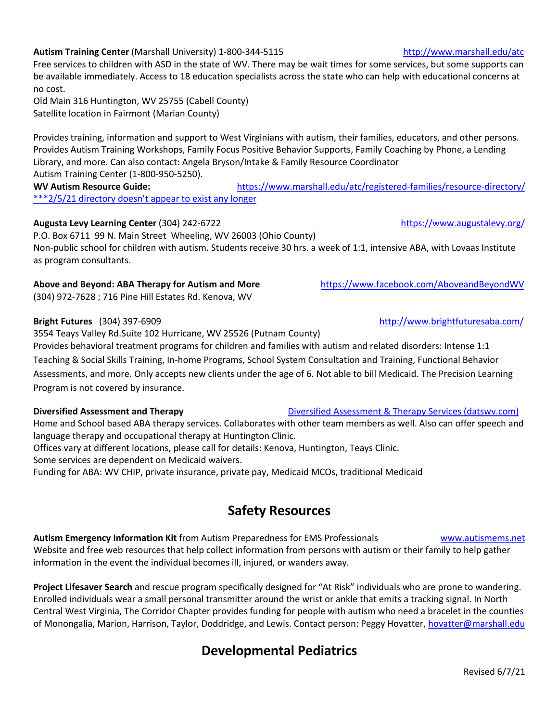### Autism Training Center (Marshall University) 1-800-344-5115 http://www.marshall.edu/atc

Free services to children with ASD in the state of WV. There may be wait times for some services, but some supports can be available immediately. Access to 18 education specialists across the state who can help with educational concerns at no cost.

Old Main 316 Huntington, WV 25755 (Cabell County) Satellite location in Fairmont (Marian County)

Provides training, information and support to West Virginians with autism, their families, educators, and other persons. Provides Autism Training Workshops, Family Focus Positive Behavior Supports, Family Coaching by Phone, a Lending Library, and more. Can also contact: Angela Bryson/Intake & Family Resource Coordinator Autism Training Center (1-800-950-5250).

**WV Autism Resource Guide:** https://www.marshall.edu/atc/registered-families/resource-directory/ \*\*\*2/5/21 directory doesn't appear to exist any longer

### **Augusta Levy Learning Center** (304) 242-6722 **https://www.augustalevy.org/** https://www.augustalevy.org/

P.O. Box 6711 99 N. Main Street Wheeling, WV 26003 (Ohio County) Non-public school for children with autism. Students receive 30 hrs. a week of 1:1, intensive ABA, with Lovaas Institute as program consultants.

### **Above and Beyond: ABA Therapy for Autism and More** https://www.facebook.com/AboveandBeyondWV

(304) 972-7628 ; 716 Pine Hill Estates Rd. Kenova, WV

3554 Teays Valley Rd.Suite 102 Hurricane, WV 25526 (Putnam County)

Provides behavioral treatment programs for children and families with autism and related disorders: Intense 1:1 Teaching & Social Skills Training, In-home Programs, School System Consultation and Training, Functional Behavior Assessments, and more. Only accepts new clients under the age of 6. Not able to bill Medicaid. The Precision Learning Program is not covered by insurance.

### **Diversified Assessment and Therapy Diversified Assessment & Therapy Services (datswv.com)**

Home and School based ABA therapy services. Collaborates with other team members as well. Also can offer speech and language therapy and occupational therapy at Huntington Clinic.

Offices vary at different locations, please call for details: Kenova, Huntington, Teays Clinic.

Some services are dependent on Medicaid waivers.

Funding for ABA: WV CHIP, private insurance, private pay, Medicaid MCOs, traditional Medicaid

# **Safety Resources**

**Autism Emergency Information Kit** from Autism Preparedness for EMS Professionals www.autismems.net Website and free web resources that help collect information from persons with autism or their family to help gather information in the event the individual becomes ill, injured, or wanders away.

**Project Lifesaver Search** and rescue program specifically designed for "At Risk" individuals who are prone to wandering. Enrolled individuals wear a small personal transmitter around the wrist or ankle that emits a tracking signal. In North Central West Virginia, The Corridor Chapter provides funding for people with autism who need a bracelet in the counties of Monongalia, Marion, Harrison, Taylor, Doddridge, and Lewis. Contact person: Peggy Hovatter, hovatter@marshall.edu

# **Developmental Pediatrics**

**Bright Futures** (304) 397-6909 **http://www.brightfuturesaba.com/**